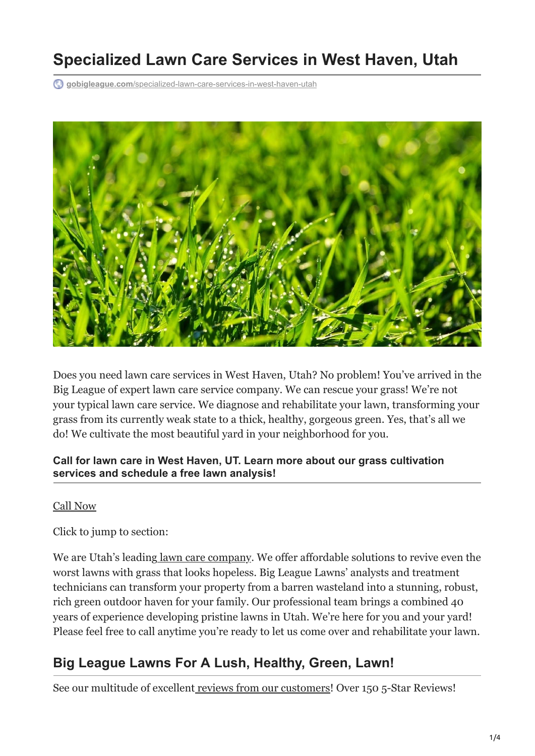# **Specialized Lawn Care Services in West Haven, Utah**

**gobigleague.com**[/specialized-lawn-care-services-in-west-haven-utah](https://gobigleague.com/specialized-lawn-care-services-in-west-haven-utah/)



Does you need lawn care services in West Haven, Utah? No problem! You've arrived in the Big League of expert lawn care service company. We can rescue your grass! We're not your typical lawn care service. We diagnose and rehabilitate your lawn, transforming your grass from its currently weak state to a thick, healthy, gorgeous green. Yes, that's all we do! We cultivate the most beautiful yard in your neighborhood for you.

#### **Call for lawn care in West Haven, UT. Learn more about our grass cultivation services and schedule a free lawn analysis!**

#### [Call Now](tel:+18018761835)

Click to jump to section:

We are Utah's leading [lawn care company.](https://gobigleague.com/why-choose-big-league-lawns/) We offer affordable solutions to revive even the worst lawns with grass that looks hopeless. Big League Lawns' analysts and treatment technicians can transform your property from a barren wasteland into a stunning, robust, rich green outdoor haven for your family. Our professional team brings a combined 40 years of experience developing pristine lawns in Utah. We're here for you and your yard! Please feel free to call anytime you're ready to let us come over and rehabilitate your lawn.

#### **Big League Lawns For A Lush, Healthy, Green, Lawn!**

See our multitude of excellent [reviews from our customers!](https://gobigleague.com/view-reviews/) Over 150 5-Star Reviews!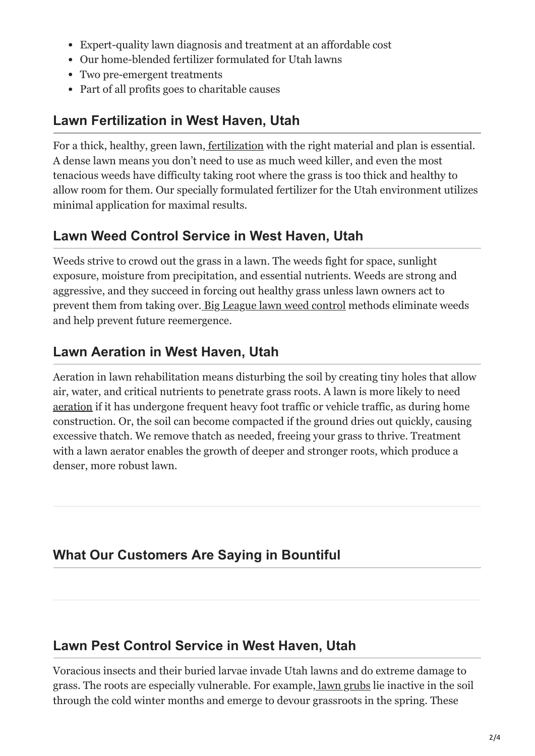- Expert-quality lawn diagnosis and treatment at an affordable cost
- Our home-blended fertilizer formulated for Utah lawns
- Two pre-emergent treatments
- Part of all profits goes to charitable causes

#### **Lawn Fertilization in West Haven, Utah**

For a thick, healthy, green lawn, [fertilization](https://gobigleague.com/lawn-fertilization-services-utah/) with the right material and plan is essential. A dense lawn means you don't need to use as much weed killer, and even the most tenacious weeds have difficulty taking root where the grass is too thick and healthy to allow room for them. Our specially formulated fertilizer for the Utah environment utilizes minimal application for maximal results.

#### **Lawn Weed Control Service in West Haven, Utah**

Weeds strive to crowd out the grass in a lawn. The weeds fight for space, sunlight exposure, moisture from precipitation, and essential nutrients. Weeds are strong and aggressive, and they succeed in forcing out healthy grass unless lawn owners act to prevent them from taking over[. Big League lawn weed control](https://gobigleague.com/lawn-weed-control-company-utah/) methods eliminate weeds and help prevent future reemergence.

## **Lawn Aeration in West Haven, Utah**

Aeration in lawn rehabilitation means disturbing the soil by creating tiny holes that allow air, water, and critical nutrients to penetrate grass roots. A lawn is more likely to need [aeration](https://gobigleague.com/lawn-aerator-service-utah/) if it has undergone frequent heavy foot traffic or vehicle traffic, as during home construction. Or, the soil can become compacted if the ground dries out quickly, causing excessive thatch. We remove thatch as needed, freeing your grass to thrive. Treatment with a lawn aerator enables the growth of deeper and stronger roots, which produce a denser, more robust lawn.

## **What Our Customers Are Saying in Bountiful**

## **Lawn Pest Control Service in West Haven, Utah**

Voracious insects and their buried larvae invade Utah lawns and do extreme damage to grass. The roots are especially vulnerable. For example[, lawn grubs](https://gobigleague.com/lawn-grub-prevention-control/) lie inactive in the soil through the cold winter months and emerge to devour grassroots in the spring. These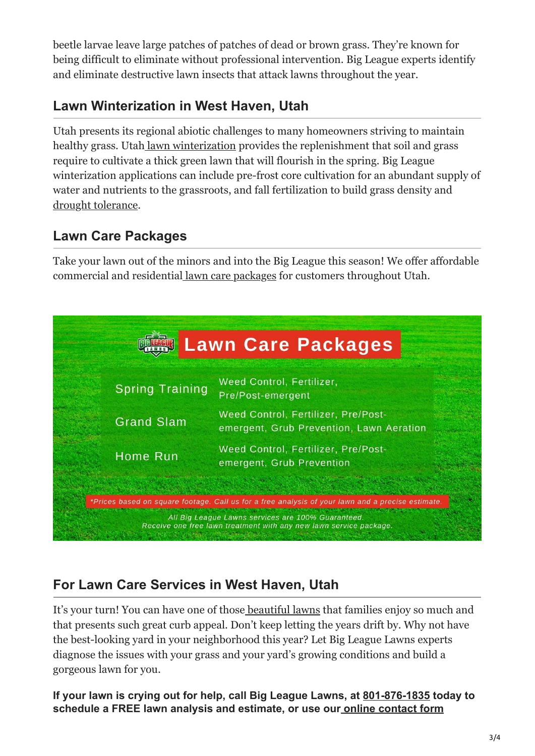beetle larvae leave large patches of patches of dead or brown grass. They're known for being difficult to eliminate without professional intervention. Big League experts identify and eliminate destructive lawn insects that attack lawns throughout the year.

#### **Lawn Winterization in West Haven, Utah**

Utah presents its regional abiotic challenges to many homeowners striving to maintain healthy grass. Utah [lawn winterization](https://gobigleague.com/lawn-winterization-utah/) provides the replenishment that soil and grass require to cultivate a thick green lawn that will flourish in the spring. Big League winterization applications can include pre-frost core cultivation for an abundant supply of water and nutrients to the grassroots, and fall fertilization to build grass density and [drought tolerance.](https://gobigleague.com/drought-stress-lawns/)

#### **Lawn Care Packages**

Take your lawn out of the minors and into the Big League this season! We offer affordable commercial and residentia[l lawn care packages](https://gobigleague.com/lawn-care-packages-in-utah/) for customers throughout Utah.



## **For Lawn Care Services in West Haven, Utah**

It's your turn! You can have one of thos[e beautiful lawns](https://gobigleague.com/gallery/) that families enjoy so much and that presents such great curb appeal. Don't keep letting the years drift by. Why not have the best-looking yard in your neighborhood this year? Let Big League Lawns experts diagnose the issues with your grass and your yard's growing conditions and build a gorgeous lawn for you.

**If your lawn is crying out for help, call Big League Lawns, at [801-876-1835](tel:+18018761835) today to schedule a FREE lawn analysis and estimate, or use our [online contact form](https://gobigleague.com/get-started-big-league-lawns-utah/)**